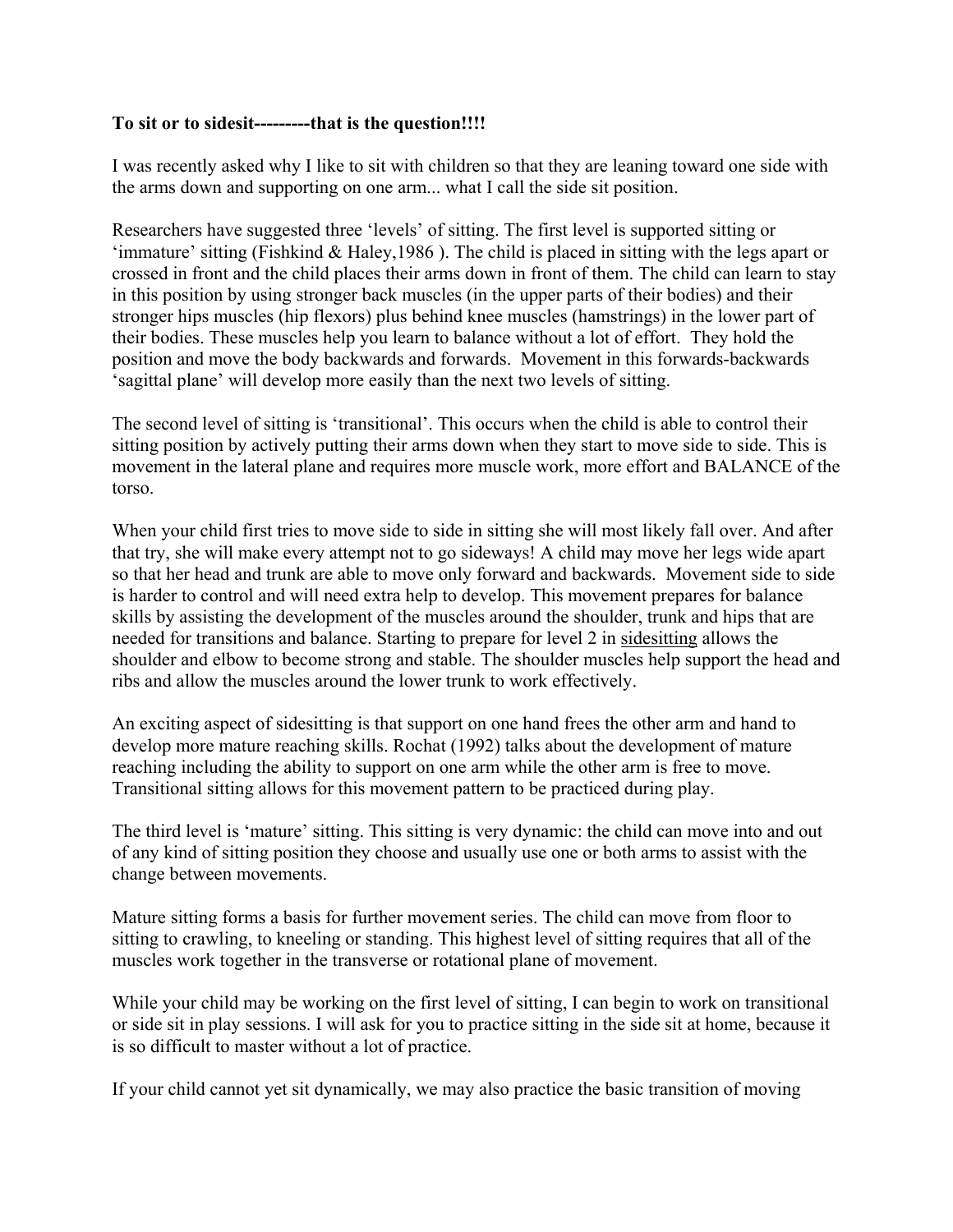## **To sit or to sidesit---------that is the question!!!!**

I was recently asked why I like to sit with children so that they are leaning toward one side with the arms down and supporting on one arm... what I call the side sit position.

Researchers have suggested three 'levels' of sitting. The first level is supported sitting or 'immature' sitting (Fishkind & Haley,1986 ). The child is placed in sitting with the legs apart or crossed in front and the child places their arms down in front of them. The child can learn to stay in this position by using stronger back muscles (in the upper parts of their bodies) and their stronger hips muscles (hip flexors) plus behind knee muscles (hamstrings) in the lower part of their bodies. These muscles help you learn to balance without a lot of effort. They hold the position and move the body backwards and forwards. Movement in this forwards-backwards 'sagittal plane' will develop more easily than the next two levels of sitting.

The second level of sitting is 'transitional'. This occurs when the child is able to control their sitting position by actively putting their arms down when they start to move side to side. This is movement in the lateral plane and requires more muscle work, more effort and BALANCE of the torso.

When your child first tries to move side to side in sitting she will most likely fall over. And after that try, she will make every attempt not to go sideways! A child may move her legs wide apart so that her head and trunk are able to move only forward and backwards. Movement side to side is harder to control and will need extra help to develop. This movement prepares for balance skills by assisting the development of the muscles around the shoulder, trunk and hips that are needed for transitions and balance. Starting to prepare for level 2 in sidesitting allows the shoulder and elbow to become strong and stable. The shoulder muscles help support the head and ribs and allow the muscles around the lower trunk to work effectively.

An exciting aspect of sidesitting is that support on one hand frees the other arm and hand to develop more mature reaching skills. Rochat (1992) talks about the development of mature reaching including the ability to support on one arm while the other arm is free to move. Transitional sitting allows for this movement pattern to be practiced during play.

The third level is 'mature' sitting. This sitting is very dynamic: the child can move into and out of any kind of sitting position they choose and usually use one or both arms to assist with the change between movements.

Mature sitting forms a basis for further movement series. The child can move from floor to sitting to crawling, to kneeling or standing. This highest level of sitting requires that all of the muscles work together in the transverse or rotational plane of movement.

While your child may be working on the first level of sitting, I can begin to work on transitional or side sit in play sessions. I will ask for you to practice sitting in the side sit at home, because it is so difficult to master without a lot of practice.

If your child cannot yet sit dynamically, we may also practice the basic transition of moving